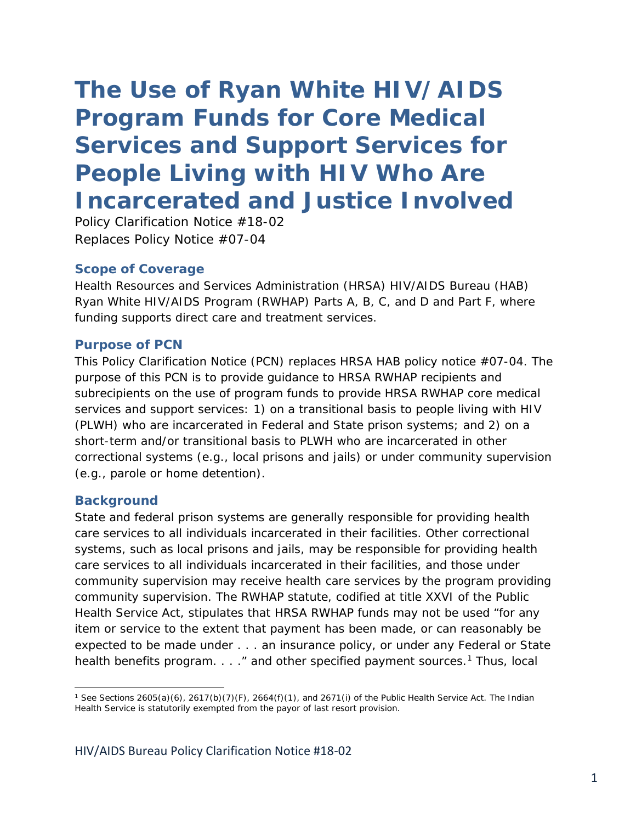# *The Use of Ryan White HIV/AIDS Program Funds for Core Medical Services and Support Services for People Living with HIV Who Are Incarcerated and Justice Involved*

Policy Clarification Notice #18-02 Replaces Policy Notice #07-04

### **Scope of Coverage**

Health Resources and Services Administration (HRSA) HIV/AIDS Bureau (HAB) Ryan White HIV/AIDS Program (RWHAP) Parts A, B, C, and D and Part F, where funding supports direct care and treatment services.

#### **Purpose of PCN**

This Policy Clarification Notice (PCN) replaces HRSA HAB policy notice #07-04. The purpose of this PCN is to provide guidance to HRSA RWHAP recipients and subrecipients on the use of program funds to provide HRSA RWHAP core medical services and support services: 1) on a transitional basis to people living with HIV (PLWH) who are incarcerated in Federal and State prison systems; and 2) on a short-term and/or transitional basis to PLWH who are incarcerated in other correctional systems (e.g., local prisons and jails) or under community supervision (e.g., parole or home detention).

#### **Background**

 $\overline{\phantom{a}}$ 

State and federal prison systems are generally responsible for providing health care services to all individuals incarcerated in their facilities. Other correctional systems, such as local prisons and jails, may be responsible for providing health care services to all individuals incarcerated in their facilities, and those under community supervision may receive health care services by the program providing community supervision. The RWHAP statute, codified at title XXVI of the Public Health Service Act, stipulates that HRSA RWHAP funds may not be used "for any item or service to the extent that payment has been made, or can reasonably be expected to be made under . . . an insurance policy, or under any Federal or State health benefits program.  $\ldots$  " and other specified payment sources.<sup>[1](#page-0-0)</sup> Thus, local

<span id="page-0-0"></span><sup>1</sup> *See* Sections 2605(a)(6), 2617(b)(7)(F), 2664(f)(1), and 2671(i) of the Public Health Service Act. The Indian Health Service is statutorily exempted from the payor of last resort provision.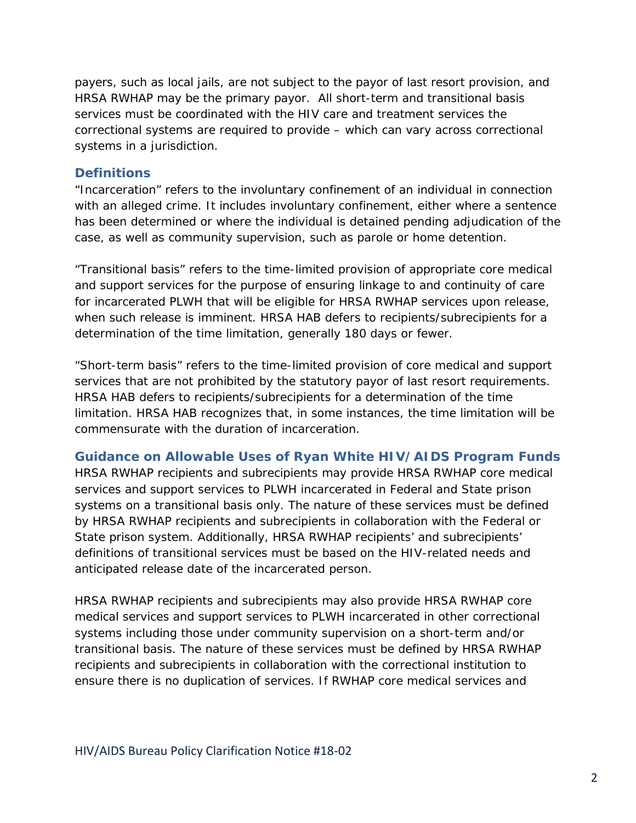payers, such as local jails, are not subject to the payor of last resort provision, and HRSA RWHAP may be the primary payor. All short-term and transitional basis services must be coordinated with the HIV care and treatment services the correctional systems are required to provide – which can vary across correctional systems in a jurisdiction.

### **Definitions**

"Incarceration" refers to the involuntary confinement of an individual in connection with an alleged crime. It includes involuntary confinement, either where a sentence has been determined or where the individual is detained pending adjudication of the case, as well as community supervision, such as parole or home detention.

"Transitional basis" refers to the time-limited provision of appropriate core medical and support services for the purpose of ensuring linkage to and continuity of care for incarcerated PLWH that will be eligible for HRSA RWHAP services upon release, when such release is imminent. HRSA HAB defers to recipients/subrecipients for a determination of the time limitation, generally 180 days or fewer.

"Short-term basis" refers to the time-limited provision of core medical and support services that are not prohibited by the statutory payor of last resort requirements. HRSA HAB defers to recipients/subrecipients for a determination of the time limitation. HRSA HAB recognizes that, in some instances, the time limitation will be commensurate with the duration of incarceration.

### **Guidance on Allowable Uses of Ryan White HIV/AIDS Program Funds**

HRSA RWHAP recipients and subrecipients may provide HRSA RWHAP core medical services and support services to PLWH incarcerated in Federal and State prison systems on a transitional basis only. The nature of these services must be defined by HRSA RWHAP recipients and subrecipients in collaboration with the Federal or State prison system. Additionally, HRSA RWHAP recipients' and subrecipients' definitions of transitional services must be based on the HIV-related needs and anticipated release date of the incarcerated person.

HRSA RWHAP recipients and subrecipients may also provide HRSA RWHAP core medical services and support services to PLWH incarcerated in other correctional systems including those under community supervision on a short-term and/or transitional basis. The nature of these services must be defined by HRSA RWHAP recipients and subrecipients in collaboration with the correctional institution to ensure there is no duplication of services. If RWHAP core medical services and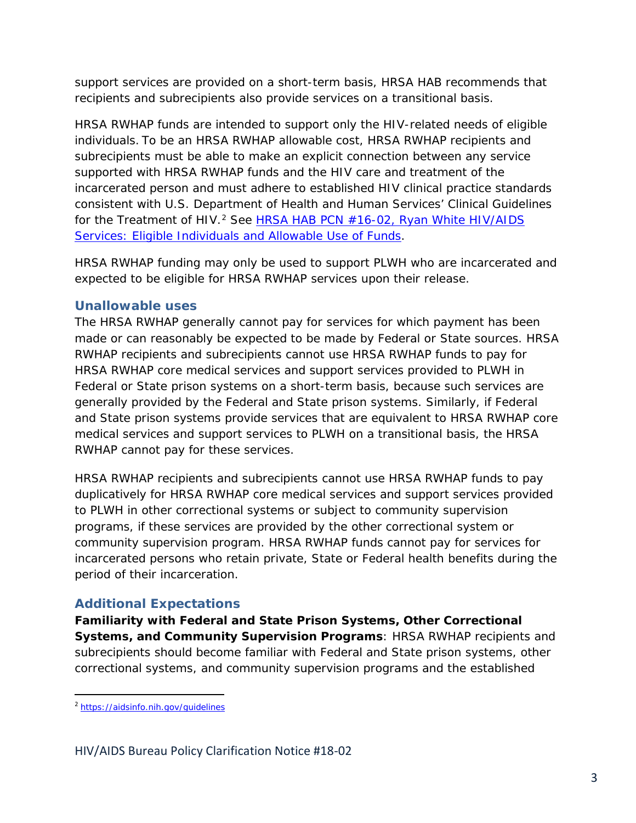support services are provided on a short-term basis, HRSA HAB recommends that recipients and subrecipients also provide services on a transitional basis.

HRSA RWHAP funds are intended to support only the HIV-related needs of eligible individuals. To be an HRSA RWHAP allowable cost, HRSA RWHAP recipients and subrecipients must be able to make an explicit connection between any service supported with HRSA RWHAP funds and the HIV care and treatment of the incarcerated person and must adhere to established HIV clinical practice standards consistent with U.S. Department of Health and Human Services' Clinical Guidelines for the Treatment of HIV.[2](#page-2-0) See HRSA HAB PCN #16-02, *[Ryan White HIV/AIDS](https://hab.hrsa.gov/sites/default/files/hab/program-grants-management/ServiceCategoryPCN_16-02Final.pdf)  [Services: Eligible Individuals and Allowable Use of Funds](https://hab.hrsa.gov/sites/default/files/hab/program-grants-management/ServiceCategoryPCN_16-02Final.pdf)*.

HRSA RWHAP funding may only be used to support PLWH who are incarcerated and expected to be eligible for HRSA RWHAP services upon their release.

## **Unallowable uses**

The HRSA RWHAP generally cannot pay for services for which payment has been made or can reasonably be expected to be made by Federal or State sources. HRSA RWHAP recipients and subrecipients cannot use HRSA RWHAP funds to pay for HRSA RWHAP core medical services and support services provided to PLWH in Federal or State prison systems on a short-term basis, because such services are generally provided by the Federal and State prison systems. Similarly, if Federal and State prison systems provide services that are equivalent to HRSA RWHAP core medical services and support services to PLWH on a transitional basis, the HRSA RWHAP cannot pay for these services.

HRSA RWHAP recipients and subrecipients cannot use HRSA RWHAP funds to pay duplicatively for HRSA RWHAP core medical services and support services provided to PLWH in other correctional systems or subject to community supervision programs, if these services are provided by the other correctional system or community supervision program. HRSA RWHAP funds cannot pay for services for incarcerated persons who retain private, State or Federal health benefits during the period of their incarceration.

## **Additional Expectations**

**Familiarity with Federal and State Prison Systems, Other Correctional Systems, and Community Supervision Programs**: HRSA RWHAP recipients and subrecipients should become familiar with Federal and State prison systems, other correctional systems, and community supervision programs and the established

<span id="page-2-0"></span> <sup>2</sup> <https://aidsinfo.nih.gov/guidelines>